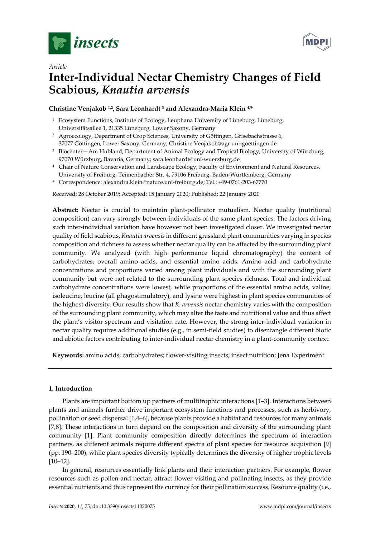



# *Article* **Inter‐Individual Nectar Chemistry Changes of Field Scabious,** *Knautia arvensis*

# **Christine Venjakob 1,2, Sara Leonhardt <sup>3</sup> and Alexandra‐Maria Klein 4,\***

- <sup>1</sup> Ecosystem Functions, Institute of Ecology, Leuphana University of Lüneburg, Lüneburg, Universitätsallee 1, 21335 Lüneburg, Lower Saxony, Germany
- <sup>2</sup> Agroecology, Department of Crop Sciences, University of Göttingen, Grisebachstrasse 6, 37077 Göttingen, Lower Saxony, Germany; Christine.Venjakob@agr.uni‐goettingen.de
- <sup>3</sup> Biocenter—Am Hubland, Department of Animal Ecology and Tropical Biology, University of Würzburg, 97070 Würzburg, Bavaria, Germany; sara.leonhardt@uni‐wuerzburg.de
- <sup>4</sup> Chair of Nature Conservation and Landscape Ecology, Faculty of Environment and Natural Resources, University of Freiburg, Tennenbacher Str. 4, 79106 Freiburg, Baden‐Württemberg, Germany
- **\*** Correspondence: alexandra.klein@nature.uni‐freiburg.de; Tel.: +49‐0761‐203‐67770

Received: 28 October 2019; Accepted: 15 January 2020; Published: 22 January 2020

**Abstract:** Nectar is crucial to maintain plant‐pollinator mutualism. Nectar quality (nutritional composition) can vary strongly between individuals of the same plant species. The factors driving such inter-individual variation have however not been investigated closer. We investigated nectar quality of field scabious, *Knautia arvensis*in different grassland plant communities varying in species composition and richness to assess whether nectar quality can be affected by the surrounding plant community. We analyzed (with high performance liquid chromatography) the content of carbohydrates, overall amino acids, and essential amino acids. Amino acid and carbohydrate concentrations and proportions varied among plant individuals and with the surrounding plant community but were not related to the surrounding plant species richness. Total and individual carbohydrate concentrations were lowest, while proportions of the essential amino acids, valine, isoleucine, leucine (all phagostimulatory), and lysine were highest in plant species communities of the highest diversity. Our results show that *K. arvensis* nectar chemistry varies with the composition of the surrounding plant community, which may alter the taste and nutritional value and thus affect the plant's visitor spectrum and visitation rate. However, the strong inter‐individual variation in nectar quality requires additional studies (e.g., in semi-field studies) to disentangle different biotic and abiotic factors contributing to inter‐individual nectar chemistry in a plant‐community context.

Keywords: amino acids; carbohydrates; flower-visiting insects; insect nutrition; Jena Experiment

## **1. Introduction**

Plants are important bottom up partners of multitrophic interactions [1–3]. Interactions between plants and animals further drive important ecosystem functions and processes, such as herbivory, pollination or seed dispersal [1,4–6], because plants provide a habitat and resources for many animals [7,8]. These interactions in turn depend on the composition and diversity of the surrounding plant community [1]. Plant community composition directly determines the spectrum of interaction partners, as different animals require different spectra of plant species for resource acquisition [9] (pp. 190–200), while plant species diversity typically determines the diversity of higher trophic levels [10–12].

In general, resources essentially link plants and their interaction partners. For example, flower resources such as pollen and nectar, attract flower-visiting and pollinating insects, as they provide essential nutrients and thus represent the currency for their pollination success. Resource quality (i.e.,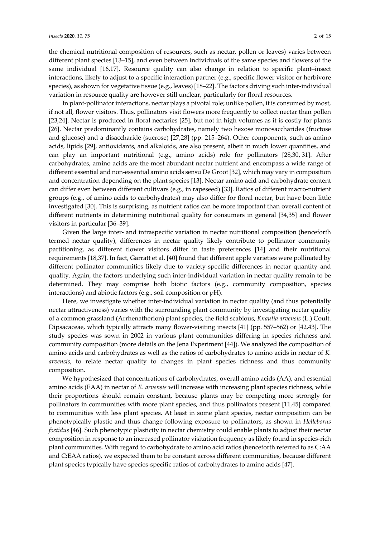the chemical nutritional composition of resources, such as nectar, pollen or leaves) varies between different plant species [13–15], and even between individuals of the same species and flowers of the same individual [16,17]. Resource quality can also change in relation to specific plant–insect interactions, likely to adjust to a specific interaction partner (e.g., specific flower visitor or herbivore species), as shown for vegetative tissue (e.g., leaves) [18–22]. The factors driving such inter-individual variation in resource quality are however still unclear, particularly for floral resources.

In plant‐pollinator interactions, nectar plays a pivotal role; unlike pollen, it is consumed by most, if not all, flower visitors. Thus, pollinators visit flowers more frequently to collect nectar than pollen [23,24]. Nectar is produced in floral nectaries [25], but not in high volumes as it is costly for plants [26]. Nectar predominantly contains carbohydrates, namely two hexose monosaccharides (fructose and glucose) and a disaccharide (sucrose) [27,28] (pp. 215–264). Other components, such as amino acids, lipids [29], antioxidants, and alkaloids, are also present, albeit in much lower quantities, and can play an important nutritional (e.g., amino acids) role for pollinators [28,30,31]. After carbohydrates, amino acids are the most abundant nectar nutrient and encompass a wide range of different essential and non‐essential amino acids sensu De Groot [32], which may vary in composition and concentration depending on the plant species [13]. Nectar amino acid and carbohydrate content can differ even between different cultivars (e.g., in rapeseed) [33]. Ratios of different macro‐nutrient groups (e.g., of amino acids to carbohydrates) may also differ for floral nectar, but have been little investigated [30]. This is surprising, as nutrient ratios can be more important than overall content of different nutrients in determining nutritional quality for consumers in general [34,35] and flower visitors in particular [36–39].

Given the large inter‐ and intraspecific variation in nectar nutritional composition (henceforth termed nectar quality), differences in nectar quality likely contribute to pollinator community partitioning, as different flower visitors differ in taste preferences [14] and their nutritional requirements [18,37]. In fact, Garratt et al. [40] found that different apple varieties were pollinated by different pollinator communities likely due to variety‐specific differences in nectar quantity and quality. Again, the factors underlying such inter-individual variation in nectar quality remain to be determined. They may comprise both biotic factors (e.g., community composition, species interactions) and abiotic factors (e.g., soil composition or pH).

Here, we investigate whether inter-individual variation in nectar quality (and thus potentially nectar attractiveness) varies with the surrounding plant community by investigating nectar quality of a common grassland (Arrhenatherion) plant species, the field scabious, *Knautia arvensis* (L.) Coult. Dipsacaceae, which typically attracts many flower-visiting insects [41] (pp. 557–562) or [42,43]. The study species was sown in 2002 in various plant communities differing in species richness and community composition (more details on the Jena Experiment [44]). We analyzed the composition of amino acids and carbohydrates as well as the ratios of carbohydrates to amino acids in nectar of *K. arvensis*, to relate nectar quality to changes in plant species richness and thus community composition.

We hypothesized that concentrations of carbohydrates, overall amino acids (AA), and essential amino acids (EAA) in nectar of *K. arvensis* will increase with increasing plant species richness, while their proportions should remain constant, because plants may be competing more strongly for pollinators in communities with more plant species, and thus pollinators present [11,45] compared to communities with less plant species. At least in some plant species, nectar composition can be phenotypically plastic and thus change following exposure to pollinators, as shown in *Helleborus foetidus* [46]. Such phenotypic plasticity in nectar chemistry could enable plants to adjust their nectar composition in response to an increased pollinator visitation frequency as likely found in species-rich plant communities. With regard to carbohydrate to amino acid ratios (henceforth referred to as C:AA and C:EAA ratios), we expected them to be constant across different communities, because different plant species typically have species‐specific ratios of carbohydrates to amino acids [47].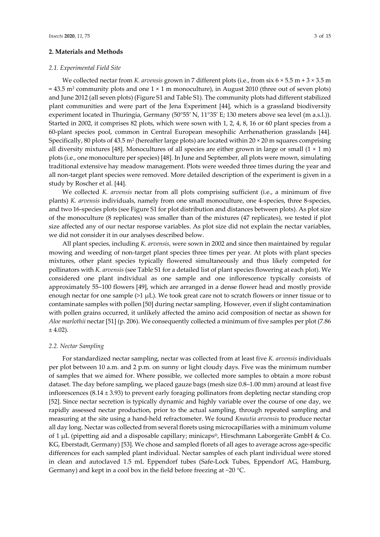#### **2. Materials and Methods**

#### *2.1. Experimental Field Site*

We collected nectar from *K. arvensis* grown in 7 different plots (i.e., from six 6 × 5.5 m + 3 × 3.5 m  $= 43.5$  m<sup>2</sup> community plots and one  $1 \times 1$  m monoculture), in August 2010 (three out of seven plots) and June 2012 (all seven plots) (Figure S1 and Table S1). The community plots had different stabilized plant communities and were part of the Jena Experiment [44], which is a grassland biodiversity experiment located in Thuringia, Germany (50°55′ N, 11°35′ E; 130 meters above sea level (m a.s.l.)). Started in 2002, it comprises 82 plots, which were sown with 1, 2, 4, 8, 16 or 60 plant species from a 60‐plant species pool, common in Central European mesophilic Arrhenatherion grasslands [44]. Specifically, 80 plots of 43.5 m<sup>2</sup> (hereafter large plots) are located within  $20 \times 20$  m squares comprising all diversity mixtures [48]. Monocultures of all species are either grown in large or small  $(1 \times 1 \text{ m})$ plots (i.e., one monoculture per species) [48]. In June and September, all plots were mown, simulating traditional extensive hay meadow management. Plots were weeded three times during the year and all non-target plant species were removed. More detailed description of the experiment is given in a study by Roscher et al. [44].

We collected *K. arvensis* nectar from all plots comprising sufficient (i.e., a minimum of five plants) *K. arvensis* individuals, namely from one small monoculture, one 4‐species, three 8‐species, and two 16‐species plots (see Figure S1 for plot distribution and distances between plots). As plot size of the monoculture (8 replicates) was smaller than of the mixtures (47 replicates), we tested if plot size affected any of our nectar response variables. As plot size did not explain the nectar variables, we did not consider it in our analyses described below.

All plant species, including *K. arvensis*, were sown in 2002 and since then maintained by regular mowing and weeding of non‐target plant species three times per year. At plots with plant species mixtures, other plant species typically flowered simultaneously and thus likely competed for pollinators with *K. arvensis* (see Table S1 for a detailed list of plant species flowering at each plot). We considered one plant individual as one sample and one inflorescence typically consists of approximately 55–100 flowers [49], which are arranged in a dense flower head and mostly provide enough nectar for one sample (>1 μL). We took great care not to scratch flowers or inner tissue or to contaminate samples with pollen [50] during nectar sampling. However, even if slight contamination with pollen grains occurred, it unlikely affected the amino acid composition of nectar as shown for *Aloe marlothii* nectar [51] (p. 206). We consequently collected a minimum of five samples per plot (7.86  $\pm 4.02$ ).

#### *2.2. Nectar Sampling*

For standardized nectar sampling, nectar was collected from at least five *K. arvensis* individuals per plot between 10 a.m. and 2 p.m. on sunny or light cloudy days. Five was the minimum number of samples that we aimed for. Where possible, we collected more samples to obtain a more robust dataset. The day before sampling, we placed gauze bags (mesh size 0.8–1.00 mm) around at least five inflorescences (8.14 ± 3.93) to prevent early foraging pollinators from depleting nectar standing crop [52]. Since nectar secretion is typically dynamic and highly variable over the course of one day, we rapidly assessed nectar production, prior to the actual sampling, through repeated sampling and measuring at the site using a hand‐held refractometer. We found *Knautia arvensis* to produce nectar all day long. Nectar was collected from several florets using microcapillaries with a minimum volume of 1 μL (pipetting aid and a disposable capillary; minicaps®, Hirschmann Laborgeräte GmbH & Co. KG, Eberstadt, Germany) [53]. We chose and sampled florets of all ages to average across age‐specific differences for each sampled plant individual. Nectar samples of each plant individual were stored in clean and autoclaved 1.5 mL Eppendorf tubes (Safe‐Lock Tubes, Eppendorf AG, Hamburg, Germany) and kept in a cool box in the field before freezing at −20 °C.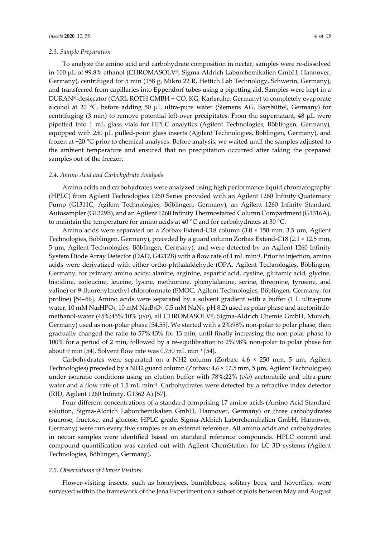To analyze the amino acid and carbohydrate composition in nectar, samples were re‐dissolved in 100 μL of 99.8% ethanol (CHROMASOLV®, Sigma-Aldrich Laborchemikalien GmbH, Hannover, Germany), centrifuged for 5 min (158 g, Mikro 22 R, Hettich Lab Technology, Schwerin, Germany), and transferred from capillaries into Eppendorf tubes using a pipetting aid. Samples were kept in a DURAN®‐desiccator (CARL ROTH GMBH + CO. KG, Karlsruhe, Germany) to completely evaporate alcohol at 20 °C, before adding 50 μL ultra‐pure water (Siemens AG, Barsbüttel, Germany) for centrifuging (3 min) to remove potential left-over precipitates. From the supernatant, 48  $\mu$ L were pipetted into 1 mL glass vials for HPLC analytics (Agilent Technologies, Böblingen, Germany), equipped with 250 μL pulled‐point glass inserts (Agilent Technologies, Böblingen, Germany), and frozen at −20 °C prior to chemical analyses. Before analysis, we waited until the samples adjusted to the ambient temperature and ensured that no precipitation occurred after taking the prepared samples out of the freezer.

#### *2.4. Amino Acid and Carbohydrate Analysis*

Amino acids and carbohydrates were analyzed using high performance liquid chromatography (HPLC) from Agilent Technologies 1260 Series provided with an Agilent 1260 Infinity Quaternary Pump (G1311C, Agilent Technologies, Böblingen, Germany), an Agilent 1260 Infinity Standard Autosampler (G1329B), and an Agilent 1260 Infinity Thermostatted Column Compartment (G1316A), to maintain the temperature for amino acids at  $40^{\circ}$ C and for carbohydrates at  $30^{\circ}$ C.

Amino acids were separated on a Zorbax Extend‐C18 column (3.0 × 150 mm, 3.5 μm, Agilent Technologies, Böblingen, Germany), preceded by a guard column Zorbax Extend‐C18 (2.1 × 12.5 mm, 5 μm, Agilent Technologies, Böblingen, Germany), and were detected by an Agilent 1260 Infinity System Diode Array Detector (DAD, G4212B) with a flow rate of 1 mL min−1. Prior to injection, amino acids were derivatized with either ortho‐phthalaldehyde (OPA, Agilent Technologies, Böblingen, Germany, for primary amino acids: alanine, arginine, aspartic acid, cystine, glutamic acid, glycine, histidine, isoleucine, leucine, lysine, methionine, phenylalanine, serine, threonine, tyrosine, and valine) or 9‐fluorenylmethyl chloroformate (FMOC, Agilent Technologies, Böblingen, Germany, for proline) [54–56]. Amino acids were separated by a solvent gradient with a buffer (1 L ultra‐pure water, 10 mM Na2HPO<sub>4</sub>, 10 mM Na2B<sub>4</sub>O<sub>7</sub>, 0.5 mM NaN<sub>3</sub>, pH 8.2) used as polar phase and acetonitrilemethanol‐water (45%:45%:10% (*v/v*), all CHROMASOLV®, Sigma‐Aldrich Chemie GmbH, Munich, Germany) used as non‐polar phase [54,55]. We started with a 2%:98% non‐polar to polar phase, then gradually changed the ratio to 57%:43% for 13 min, until finally increasing the non‐polar phase to 100% for a period of 2 min, followed by a re-equilibration to 2%:98% non-polar to polar phase for about 9 min [54]. Solvent flow rate was 0.750 mL min−<sup>1</sup> [54].

Carbohydrates were separated on a NH2 column (Zorbax:  $4.6 \times 250$  mm,  $5 \mu m$ , Agilent Technologies) preceded by a NH2 guard column (Zorbax: 4.6 × 12.5 mm, 5 μm, Agilent Technologies) under isocratic conditions using an elution buffer with 78%:22% (*v*/*v*) acetonitrile and ultra-pure water and a flow rate of 1.5 mL min<sup>-1</sup>. Carbohydrates were detected by a refractive index detector (RID, Agilent 1260 Infinity, G1362 A) [57].

Four different concentrations of a standard comprising 17 amino acids (Amino Acid Standard solution, Sigma‐Aldrich Laborchemikalien GmbH, Hannover, Germany) or three carbohydrates (sucrose, fructose, and glucose, HPLC grade, Sigma‐Aldrich Laborchemikalien GmbH, Hannover, Germany) were run every five samples as an external reference. All amino acids and carbohydrates in nectar samples were identified based on standard reference compounds. HPLC control and compound quantification was carried out with Agilent ChemStation for LC 3D systems (Agilent Technologies, Böblingen, Germany).

#### *2.5. Observations of Flower Visitors*

Flower-visiting insects, such as honeybees, bumblebees, solitary bees, and hoverflies, were surveyed within the framework of the Jena Experiment on a subset of plots between May and August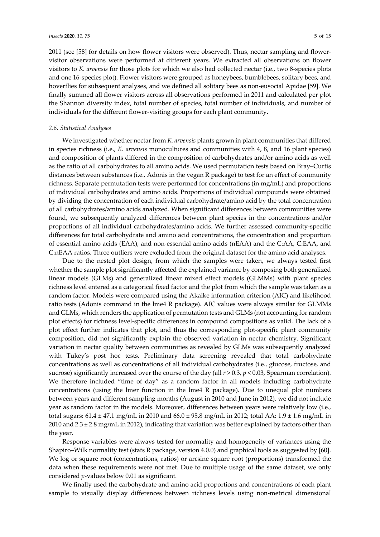2011 (see [58] for details on how flower visitors were observed). Thus, nectar sampling and flower‐ visitor observations were performed at different years. We extracted all observations on flower visitors to *K. arvensis* for those plots for which we also had collected nectar (i.e., two 8‐species plots and one 16‐species plot). Flower visitors were grouped as honeybees, bumblebees, solitary bees, and hoverflies for subsequent analyses, and we defined all solitary bees as non-eusocial Apidae [59]. We finally summed all flower visitors across all observations performed in 2011 and calculated per plot the Shannon diversity index, total number of species, total number of individuals, and number of individuals for the different flower-visiting groups for each plant community.

#### *2.6. Statistical Analyses*

We investigated whether nectar from *K. arvensis* plants grown in plant communities that differed in species richness (i.e., *K. arvensis* monocultures and communities with 4, 8, and 16 plant species) and composition of plants differed in the composition of carbohydrates and/or amino acids as well as the ratio of all carbohydrates to all amino acids. We used permutation tests based on Bray–Curtis distances between substances (i.e., Adonis in the vegan R package) to test for an effect of community richness. Separate permutation tests were performed for concentrations (in mg/mL) and proportions of individual carbohydrates and amino acids. Proportions of individual compounds were obtained by dividing the concentration of each individual carbohydrate/amino acid by the total concentration of all carbohydrates/amino acids analyzed. When significant differences between communities were found, we subsequently analyzed differences between plant species in the concentrations and/or proportions of all individual carbohydrates/amino acids. We further assessed community‐specific differences for total carbohydrate and amino acid concentrations, the concentration and proportion of essential amino acids (EAA), and non‐essential amino acids (nEAA) and the C:AA, C:EAA, and C:nEAA ratios. Three outliers were excluded from the original dataset for the amino acid analyses.

Due to the nested plot design, from which the samples were taken, we always tested first whether the sample plot significantly affected the explained variance by composing both generalized linear models (GLMs) and generalized linear mixed effect models (GLMMs) with plant species richness level entered as a categorical fixed factor and the plot from which the sample was taken as a random factor. Models were compared using the Akaike information criterion (AIC) and likelihood ratio tests (Adonis command in the lme4 R package). AIC values were always similar for GLMMs and GLMs, which renders the application of permutation tests and GLMs (not accounting for random plot effects) for richness level‐specific differences in compound compositions as valid. The lack of a plot effect further indicates that plot, and thus the corresponding plot‐specific plant community composition, did not significantly explain the observed variation in nectar chemistry. Significant variation in nectar quality between communities as revealed by GLMs was subsequently analyzed with Tukey's post hoc tests. Preliminary data screening revealed that total carbohydrate concentrations as well as concentrations of all individual carbohydrates (i.e., glucose, fructose, and sucrose) significantly increased over the course of the day (all  $r > 0.3$ ,  $p < 0.03$ , Spearman correlation). We therefore included "time of day" as a random factor in all models including carbohydrate concentrations (using the lmer function in the lme4 R package). Due to unequal plot numbers between years and different sampling months (August in 2010 and June in 2012), we did not include year as random factor in the models. Moreover, differences between years were relatively low (i.e., total sugars: 61.4 ± 47.1 mg/mL in 2010 and 66.0 ± 95.8 mg/mL in 2012; total AA: 1.9 ± 1.6 mg/mL in 2010 and 2.3 ± 2.8 mg/mL in 2012), indicating that variation was better explained by factors other than the year.

Response variables were always tested for normality and homogeneity of variances using the Shapiro–Wilk normality test (stats R package, version 4.0.0) and graphical tools as suggested by [60]. We log or square root (concentrations, ratios) or arcsine square root (proportions) transformed the data when these requirements were not met. Due to multiple usage of the same dataset, we only considered *p*-values below 0.01 as significant.

We finally used the carbohydrate and amino acid proportions and concentrations of each plant sample to visually display differences between richness levels using non-metrical dimensional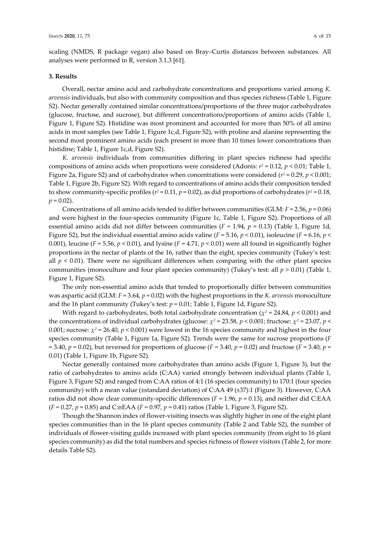scaling (NMDS, R package vegan) also based on Bray–Curtis distances between substances. All analyses were performed in R, version 3.1.3 [61].

#### **3. Results**

Overall, nectar amino acid and carbohydrate concentrations and proportions varied among *K. arvensis* individuals, but also with community composition and thus species richness (Table 1, Figure S2). Nectar generally contained similar concentrations/proportions of the three major carbohydrates (glucose, fructose, and sucrose), but different concentrations/proportions of amino acids (Table 1, Figure 1, Figure S2). Histidine was most prominent and accounted for more than 50% of all amino acids in most samples (see Table 1, Figure 1c,d, Figure S2), with proline and alanine representing the second most prominent amino acids (each present in more than 10 times lower concentrations than histidine; Table 1, Figure 1c,d, Figure S2).

*K. arvensis* individuals from communities differing in plant species richness had specific compositions of amino acids when proportions were considered (Adonis:  $r^2 = 0.12$ ,  $p < 0.01$ ; Table 1, Figure 2a, Figure S2) and of carbohydrates when concentrations were considered (*r2* = 0.29, *p* < 0.001; Table 1, Figure 2b, Figure S2). With regard to concentrations of amino acids their composition tended to show community-specific profiles ( $r^2$  = 0.11,  $p$  = 0.02), as did proportions of carbohydrates ( $r^2$  = 0.18,  $p = 0.02$ ).

Concentrations of all amino acids tended to differ between communities (GLM: *F* = 2.56, *p* = 0.06) and were highest in the four-species community (Figure 1c, Table 1, Figure S2). Proportions of all essential amino acids did not differ between communities (*F* = 1.94, *p* = 0.13) (Table 1, Figure 1d, Figure S2), but the individual essential amino acids valine ( $F = 5.16$ ,  $p < 0.01$ ), isoleucine ( $F = 6.16$ ,  $p <$ 0.001), leucine ( $F = 5.56$ ,  $p < 0.01$ ), and lysine ( $F = 4.71$ ,  $p < 0.01$ ) were all found in significantly higher proportions in the nectar of plants of the 16, rather than the eight, species community (Tukey's test: all  $p < 0.01$ ). There were no significant differences when comparing with the other plant species communities (monoculture and four plant species community) (Tukey's test: all  $p > 0.01$ ) (Table 1, Figure 1, Figure S2).

The only non‐essential amino acids that tended to proportionally differ between communities was aspartic acid (GLM: *F* = 3.64, *p* = 0.02) with the highest proportions in the *K. arvensis* monoculture and the 16 plant community (Tukey's test:  $p = 0.01$ ; Table 1, Figure 1d, Figure S2).

With regard to carbohydrates, both total carbohydrate concentration ( $\chi^2$  = 24.84,  $p$  < 0.001) and the concentrations of individual carbohydrates (glucose:  $\chi^2$  = 23.58,  $p$  < 0.001; fructose:  $\chi^2$  = 23.07,  $p$  < 0.001; sucrose:  $\chi^2$  = 26.40,  $p$  < 0.001) were lowest in the 16 species community and highest in the four species community (Table 1, Figure 1a, Figure S2). Trends were the same for sucrose proportions (*F*  $= 3.40, p = 0.02$ ), but reversed for proportions of glucose ( $F = 3.40, p = 0.02$ ) and fructose ( $F = 3.40, p = 0.02$ ) 0.01) (Table 1, Figure 1b, Figure S2).

Nectar generally contained more carbohydrates than amino acids (Figure 1, Figure 3), but the ratio of carbohydrates to amino acids (C:AA) varied strongly between individual plants (Table 1, Figure 3, Figure S2) and ranged from C:AA ratios of 4:1 (16 species community) to 170:1 (four species community) with a mean value (±standard deviation) of C:AA 49 (±37):1 (Figure 3). However, C:AA ratios did not show clear community-specific differences ( $F = 1.96$ ,  $p = 0.13$ ), and neither did C:EAA (*F* = 0.27, *p* = 0.85) and C:nEAA (*F* = 0.97, *p* = 0.41) ratios (Table 1, Figure 3, Figure S2).

Though the Shannon index of flower‐visiting insects was slightly higher in one of the eight plant species communities than in the 16 plant species community (Table 2 and Table S2), the number of individuals of flower-visiting guilds increased with plant species community (from eight to 16 plant species community) as did the total numbers and species richness of flower visitors (Table 2, for more details Table S2).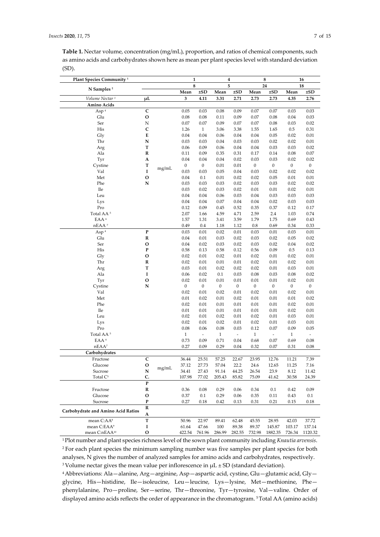**Table 1.** Nectar volume, concentration (mg/mL), proportion, and ratios of chemical components, such as amino acids and carbohydrates shown here as mean per plant species level with standard deviation (SD).

| Plant Species Community <sup>1</sup> |              |       |                         | $\mathbf 1$      |                  | 4                |                  | 8                |                  | 16               |
|--------------------------------------|--------------|-------|-------------------------|------------------|------------------|------------------|------------------|------------------|------------------|------------------|
|                                      |              |       |                         | 8                |                  | 5                |                  | 24               |                  | 18               |
| N Samples <sup>2</sup>               |              |       | Mean                    | ±SD              | Mean             | ±SD              | Mean             | ±SD              | Mean             | ±SD              |
| Volume Nectar <sup>3</sup>           | $\mu$ L      |       | $\overline{\mathbf{3}}$ | 4.11             | 3.31             | 2.71             | 2.73             | 2.73             | 4.35             | 2.76             |
| Amino Acids                          |              |       |                         |                  |                  |                  |                  |                  |                  |                  |
| Asp <sup>4</sup>                     | C            |       | 0.05                    | 0.03             | 0.08             | 0.09             | 0.07             | 0.07             | 0.03             | 0.03             |
| Glu                                  | ${\bf O}$    |       | $0.08\,$                | 0.08             | 0.11             | 0.09             | 0.07             | 0.08             | 0.04             | 0.03             |
| Ser                                  | N            |       | $0.07\,$                | 0.07             | 0.09             | 0.07             | 0.07             | 0.08             | 0.03             | 0.02             |
| His                                  | C            |       | 1.26                    | $\mathbf{1}$     | 3.06             | 3.38             | 1.55             | 1.65             | 0.5              | 0.31             |
| Gly                                  | E            |       | 0.04                    | 0.04             | 0.06             | 0.04             | 0.04             | 0.05             | 0.02             | 0.01             |
| Thr                                  | ${\bf N}$    |       | 0.03                    | 0.03             | 0.04             | 0.03             | 0.03             | 0.02             | 0.02             | 0.01             |
| Arg                                  | T            |       | 0.06                    | 0.09             | 0.06             | 0.04             | 0.04             | 0.03             | 0.03             | 0.02             |
| Ala                                  | $\mathbf R$  |       | 0.11                    | 0.09             | 0.35             | 0.31             | 0.17             | 0.14             | 0.08             | 0.07             |
| Tyr                                  | A            |       | 0.04                    | 0.04             | 0.04             | 0.02             | 0.03             | 0.03             | 0.02             | 0.02             |
| Cystine                              | T            |       | $\boldsymbol{0}$        | $\boldsymbol{0}$ | 0.01             | 0.01             | $\boldsymbol{0}$ | $\boldsymbol{0}$ | $\boldsymbol{0}$ | $\boldsymbol{0}$ |
| Val                                  | $\mathbf I$  | mg/mL | 0.03                    | 0.03             | 0.05             | 0.04             | 0.03             | 0.02             | 0.02             | 0.02             |
| Met                                  | O            |       | 0.04                    | 0.1              | 0.01             | 0.02             | 0.02             | 0.05             | 0.01             | 0.01             |
| Phe                                  | N            |       | 0.03                    | 0.03             | 0.03             | 0.02             | 0.03             | 0.03             | 0.02             | 0.02             |
| Ile                                  |              |       | 0.03                    | 0.02             | 0.03             | 0.02             | 0.01             | 0.01             | 0.02             | 0.01             |
| Leu                                  |              |       | $0.04\,$                | 0.04             | 0.06             | 0.03             | 0.04             | 0.03             | 0.03             | 0.03             |
| Lys                                  |              |       | 0.04                    | 0.04             | 0.07             | 0.04             | 0.04             | 0.02             | 0.03             | 0.03             |
| Pro                                  |              |       | 0.12                    | 0.09             | 0.45             | 0.52             | 0.35             | 0.37             | 0.12             | 0.17             |
| Total AA <sup>5</sup>                |              |       | 2.07                    | 1.66             | 4.59             | 4.71             | 2.59             | 2.4              | 1.03             | 0.74             |
| EAA $6$                              |              |       | 1.57                    | 1.31             | 3.41             | 3.59             | 1.79             | 1.75             | 0.69             | 0.43             |
| nEAA <sup>7</sup>                    |              |       | 0.49                    | 0.4              | 1.18             | 1.12             | $0.8\,$          | 0.69             | 0.34             | 0.33             |
| Asp <sup>4</sup>                     | P            |       | 0.03                    | 0.01             | 0.02             | 0.01             | 0.03             | 0.01             | 0.03             | 0.01             |
| Glu                                  | R            |       | 0.04                    | 0.01             | 0.03             | 0.02             | 0.03             | 0.02             | 0.05             | 0.02             |
| Ser                                  | O            |       | 0.04                    | 0.02             | 0.03             | 0.02             | 0.03             | 0.02             | 0.04             | 0.02             |
| His                                  | P            |       | 0.58                    | 0.13             | 0.58             | 0.12             | 0.56             | 0.09             | 0.5              | 0.13             |
| Gly                                  | O            |       | 0.02                    | $0.01\,$         | 0.02             | $0.01\,$         | 0.02             | $0.01\,$         | 0.02             | $0.01\,$         |
| Thr                                  | $\mathbf R$  |       | 0.02                    | 0.01             | 0.01             | 0.01             | 0.02             | 0.01             | 0.02             | 0.01             |
|                                      | T            |       | 0.03                    | $0.01\,$         | 0.02             | 0.02             | 0.02             | 0.01             | 0.03             | $0.01\,$         |
| Arg<br>Ala                           | I            |       | 0.06                    | 0.02             | 0.1              | 0.03             | 0.08             | 0.03             | 0.08             | 0.02             |
| Tyr                                  | $\mathbf O$  |       | $0.02\,$                | $0.01\,$         | 0.01             | $0.01\,$         | $0.01\,$         | $0.01\,$         | 0.02             | $0.01\,$         |
| Cystine                              | N            |       | $\boldsymbol{0}$        | $\boldsymbol{0}$ | $\boldsymbol{0}$ | $\boldsymbol{0}$ | $\boldsymbol{0}$ | $\boldsymbol{0}$ | $\boldsymbol{0}$ | $\boldsymbol{0}$ |
| Val                                  |              |       | 0.02                    | 0.01             | 0.02             | $0.01\,$         | 0.02             | 0.01             | 0.02             | 0.01             |
| Met                                  |              |       | $0.01\,$                | 0.02             | $0.01\,$         | 0.02             | $0.01\,$         | $0.01\,$         |                  | 0.02             |
| Phe                                  |              |       | 0.02                    | $0.01\,$         |                  | $0.01\,$         |                  |                  | 0.01<br>0.02     | 0.01             |
|                                      |              |       |                         |                  | 0.01             |                  | 0.01             | 0.01             |                  |                  |
| Ile                                  |              |       | $0.01\,$                | $0.01\,$         | $0.01\,$         | $0.01\,$         | $0.01\,$         | $0.01\,$         | 0.02             | $0.01\,$         |
| Leu                                  |              |       | 0.02                    | 0.01             | 0.02             | 0.01             | 0.02             | 0.01             | 0.03             | 0.01             |
| Lys                                  |              |       | $0.02\,$                | 0.01             | 0.02             | 0.01             | 0.02             | 0.01             | 0.03             | 0.01             |
| Pro                                  |              |       | 0.08                    | 0.06             | 0.08             | 0.03             | 0.12             | 0.07             | 0.09             | 0.05             |
| Total AA <sup>5</sup><br>EAA $6$     |              |       | $\mathbf{1}$<br>0.73    | $\omega$         | $\mathbf{1}$     | $\omega$         | $\mathbf{1}$     | 0.07             | $\mathbf{1}$     |                  |
|                                      |              |       |                         | 0.09             | 0.71             | 0.04             | 0.68             |                  | 0.69             | 0.08             |
| $nEAA^7$                             |              |       | 0.27                    | 0.09             | 0.29             | 0.04             | 0.32             | 0.07             | 0.31             | 0.08             |
| Carbohydrates                        | $\mathsf{C}$ |       | 36.44                   | 25.51            | 57.25            | 22.67            | 23.95            | 12.76            | 11.21            | 7.39             |
| Fructose<br>Glucose                  | o            |       | 37.12                   | 27.73            | 57.04            | 22.2             | 24.6             | 12.65            | 11.25            | 7.16             |
|                                      | N            | mg/mL |                         |                  |                  |                  |                  |                  |                  |                  |
| Sucrose<br>Total C <sup>5</sup>      |              |       | 34.41                   | 27.43            | 91.14            | 44.25            | 26.54            | 23.9             | 8.12             | 11.42            |
|                                      | C.           |       | 107.98                  | 77.02            | 205.43           | 85.82            | 75.09            | 41.62            | 30.58            | 24.39            |
|                                      | P            |       |                         |                  |                  |                  |                  |                  |                  |                  |
| Fructose                             | $\mathbf R$  |       | 0.36                    | 0.08             | 0.29             | 0.06             | 0.34             | 0.1              | 0.42             | 0.09             |
| Glucose<br>Sucrose                   | o<br>P       |       | 0.37<br>0.27            | 0.1              | 0.29             | 0.06<br>0.13     | 0.35             | 0.11<br>0.21     | 0.43             | 0.1              |
|                                      |              |       |                         | 0.18             | 0.42             |                  | 0.31             |                  | 0.15             | 0.18             |
| Carbohydrate and Amino Acid Ratios   | $\mathbb R$  |       |                         |                  |                  |                  |                  |                  |                  |                  |
|                                      | A            |       |                         |                  |                  |                  |                  |                  |                  |                  |
| mean C:AA <sup>8</sup>               | T            |       | 50.96                   | 22.97            | 89.41            | 62.48            | 45.55            | 28.95            | 42.03            | 37.72            |
| mean C:EAA <sup>9</sup>              | I            |       | 61.64                   | 47.66            | 100              | 89.38            | 89.37            | 145.87           | 103.17           | 137.14           |
| mean C:nEAA <sup>10</sup>            | O            |       | 422.54                  | 761.96           | 286.99           | 282.55           | 732.98           | 1882.35          | 726.34           | 1120.32          |

1Plot number and plant species richness level of the sown plant community including *Knautia arvensis*. <sup>2</sup> For each plant species the minimum sampling number was five samples per plant species for both analyses, N gives the number of analyzed samples for amino acids and carbohydrates, respectively. <sup>3</sup> Volume nectar gives the mean value per inflorescence in  $\mu$ L  $\pm$  SD (standard deviation).

4Abbreviations: Ala—alanine, Arg—arginine, Asp—aspartic acid, cystine, Glu—glutamic acid, Gly glycine, His—histidine, Ile—isoleucine, Leu—leucine, Lys—lysine, Met—methionine, Phe phenylalanine, Pro—proline, Ser—serine, Thr—threonine, Tyr—tyrosine, Val—valine. Order of displayed amino acids reflects the order of appearance in the chromatogram. 5Total AA (amino acids)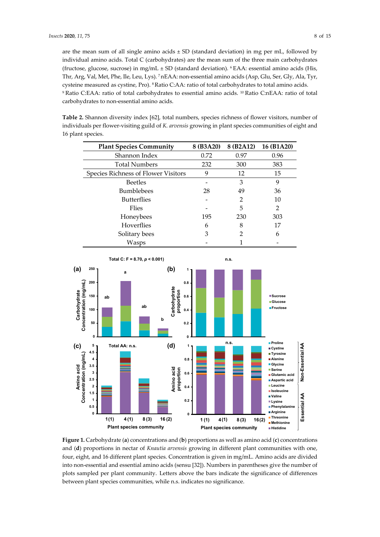are the mean sum of all single amino acids  $\pm$  SD (standard deviation) in mg per mL, followed by individual amino acids. Total C (carbohydrates) are the mean sum of the three main carbohydrates (fructose, glucose, sucrose) in mg/mL ± SD (standard deviation). <sup>6</sup> EAA: essential amino acids (His, Thr, Arg, Val, Met, Phe, Ile, Leu, Lys). 7nEAA: non‐essential amino acids (Asp, Glu, Ser, Gly, Ala, Tyr, cysteine measured as cystine, Pro). 8Ratio C:AA: ratio of total carbohydrates to total amino acids. <sup>9</sup> Ratio C:EAA: ratio of total carbohydrates to essential amino acids. <sup>10</sup> Ratio C:nEAA: ratio of total carbohydrates to non‐essential amino acids.

**Table 2.** Shannon diversity index [62], total numbers, species richness of flower visitors, number of individuals per flower‐visiting guild of *K. arvensis* growing in plant species communities of eight and 16 plant species.

| <b>Plant Species Community</b>      | 8 (B <sub>3</sub> A <sub>20</sub> ) | 8 (B2A12)     | 16 (B1A20)     |
|-------------------------------------|-------------------------------------|---------------|----------------|
| Shannon Index                       | 0.72                                | 0.97          | 0.96           |
| <b>Total Numbers</b>                | 232                                 | 300           | 383            |
| Species Richness of Flower Visitors | 9                                   | 12            | 15             |
| <b>Beetles</b>                      |                                     | 3             | 9              |
| <b>Bumblebees</b>                   | 28                                  | 49            | 36             |
| <b>Butterflies</b>                  |                                     | 2             | 10             |
| Flies                               |                                     | 5             | $\mathfrak{p}$ |
| Honeybees                           | 195                                 | 230           | 303            |
| <b>Hoverflies</b>                   | 6                                   | 8             | 17             |
| Solitary bees                       | 3                                   | $\mathcal{P}$ | 6              |
| Wasps                               |                                     |               |                |



**Figure 1.** Carbohydrate (**a**) concentrations and (**b**) proportions as well as amino acid (**c**) concentrations and (**d**) proportions in nectar of *Knautia arvensis* growing in different plant communities with one, four, eight, and 16 different plant species. Concentration is given in mg/mL. Amino acids are divided into non‐essential and essential amino acids (sensu [32]). Numbers in parentheses give the number of plots sampled per plant community. Letters above the bars indicate the significance of differences between plant species communities, while n.s. indicates no significance.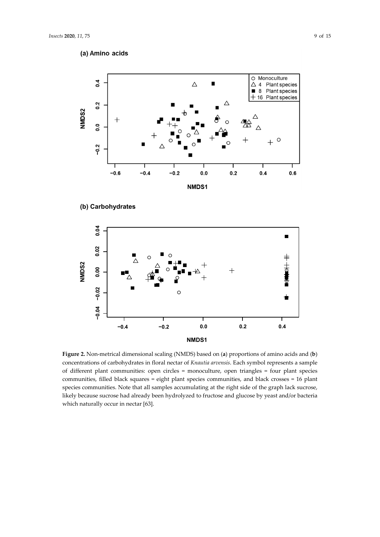# (a) Amino acids



**(b) Carbohydrates**



**Figure 2.** Non‐metrical dimensional scaling (NMDS) based on (**a**) proportions of amino acids and (**b**) concentrations of carbohydrates in floral nectar of *Knautia arvensis*. Each symbol represents a sample of different plant communities: open circles = monoculture, open triangles = four plant species communities, filled black squares = eight plant species communities, and black crosses = 16 plant species communities. Note that all samples accumulating at the right side of the graph lack sucrose, likely because sucrose had already been hydrolyzed to fructose and glucose by yeast and/or bacteria which naturally occur in nectar [63].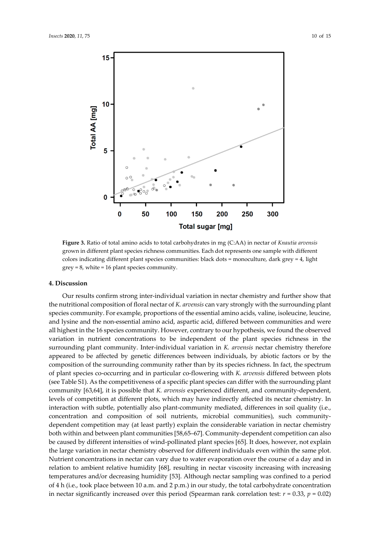

**Figure 3.** Ratio of total amino acids to total carbohydrates in mg (C:AA) in nectar of *Knautia arvensis* grown in different plant species richness communities. Each dot represents one sample with different colors indicating different plant species communities: black dots = monoculture, dark grey = 4, light grey = 8, white = 16 plant species community.

### **4. Discussion**

Our results confirm strong inter‐individual variation in nectar chemistry and further show that the nutritional composition of floral nectar of *K. arvensis* can vary strongly with the surrounding plant species community. For example, proportions of the essential amino acids, valine, isoleucine, leucine, and lysine and the non‐essential amino acid, aspartic acid, differed between communities and were all highest in the 16 species community. However, contrary to our hypothesis, we found the observed variation in nutrient concentrations to be independent of the plant species richness in the surrounding plant community. Inter-individual variation in *K. arvensis* nectar chemistry therefore appeared to be affected by genetic differences between individuals, by abiotic factors or by the composition of the surrounding community rather than by its species richness. In fact, the spectrum of plant species co‐occurring and in particular co‐flowering with *K. arvensis* differed between plots (see Table S1). As the competitiveness of a specific plant species can differ with the surrounding plant community [63,64], it is possible that *K. arvensis* experienced different, and community‐dependent, levels of competition at different plots, which may have indirectly affected its nectar chemistry. In interaction with subtle, potentially also plant‐community mediated, differences in soil quality (i.e., concentration and composition of soil nutrients, microbial communities), such communitydependent competition may (at least partly) explain the considerable variation in nectar chemistry both within and between plant communities [58,65–67]. Community-dependent competition can also be caused by different intensities of wind‐pollinated plant species [65]. It does, however, not explain the large variation in nectar chemistry observed for different individuals even within the same plot. Nutrient concentrations in nectar can vary due to water evaporation over the course of a day and in relation to ambient relative humidity [68], resulting in nectar viscosity increasing with increasing temperatures and/or decreasing humidity [53]. Although nectar sampling was confined to a period of 4 h (i.e., took place between 10 a.m. and 2 p.m.) in our study, the total carbohydrate concentration in nectar significantly increased over this period (Spearman rank correlation test:  $r = 0.33$ ,  $p = 0.02$ )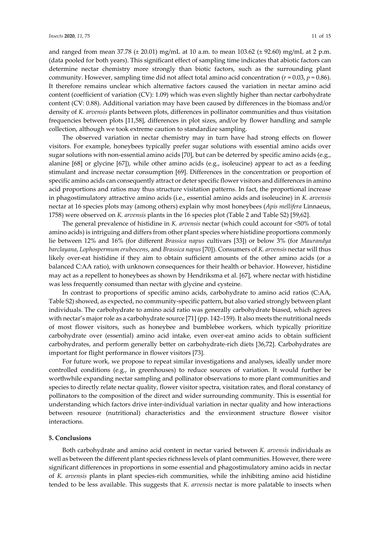and ranged from mean  $37.78 \pm 20.01$  mg/mL at 10 a.m. to mean  $103.62 \pm 92.60$  mg/mL at 2 p.m. (data pooled for both years). This significant effect of sampling time indicates that abiotic factors can determine nectar chemistry more strongly than biotic factors, such as the surrounding plant community. However, sampling time did not affect total amino acid concentration ( $r = 0.03$ ,  $p = 0.86$ ). It therefore remains unclear which alternative factors caused the variation in nectar amino acid content (coefficient of variation (CV): 1.09) which was even slightly higher than nectar carbohydrate content (CV: 0.88). Additional variation may have been caused by differences in the biomass and/or density of *K. arvensis* plants between plots, differences in pollinator communities and thus visitation frequencies between plots [11,58], differences in plot sizes, and/or by flower handling and sample collection, although we took extreme caution to standardize sampling.

The observed variation in nectar chemistry may in turn have had strong effects on flower visitors. For example, honeybees typically prefer sugar solutions with essential amino acids over sugar solutions with non-essential amino acids [70], but can be deterred by specific amino acids (e.g., alanine [68] or glycine [67]), while other amino acids (e.g., isoleucine) appear to act as a feeding stimulant and increase nectar consumption [69]. Differences in the concentration or proportion of specific amino acids can consequently attract or deter specific flower visitors and differences in amino acid proportions and ratios may thus structure visitation patterns. In fact, the proportional increase in phagostimulatory attractive amino acids (i.e., essential amino acids and isoleucine) in *K. arvensis* nectar at 16 species plots may (among others) explain why most honeybees (*Apis mellifera* Linnaeus, 1758) were observed on *K. arvensis* plants in the 16 species plot (Table 2 and Table S2) [59,62].

The general prevalence of histidine in *K. arvensis* nectar (which could account for <50% of total amino acids) is intriguing and differs from other plant species where histidine proportions commonly lie between 12% and 16% (for different *Brassica napus* cultivars [33]) or below 3% (for *Maurandya barclayana*, *Lophospermum erubescens*, and *Brassica napus* [70]). Consumers of *K. arvensis* nectar will thus likely over-eat histidine if they aim to obtain sufficient amounts of the other amino acids (or a balanced C:AA ratio), with unknown consequences for their health or behavior. However, histidine may act as a repellent to honeybees as shown by Hendriksma et al. [67], where nectar with histidine was less frequently consumed than nectar with glycine and cysteine.

In contrast to proportions of specific amino acids, carbohydrate to amino acid ratios (C:AA, Table S2) showed, as expected, no community‐specific pattern, but also varied strongly between plant individuals. The carbohydrate to amino acid ratio was generally carbohydrate biased, which agrees with nectar's major role as a carbohydrate source [71] (pp. 142–159). It also meets the nutritional needs of most flower visitors, such as honeybee and bumblebee workers, which typically prioritize carbohydrate over (essential) amino acid intake, even over‐eat amino acids to obtain sufficient carbohydrates, and perform generally better on carbohydrate‐rich diets [36,72]. Carbohydrates are important for flight performance in flower visitors [73].

For future work, we propose to repeat similar investigations and analyses, ideally under more controlled conditions (e.g., in greenhouses) to reduce sources of variation. It would further be worthwhile expanding nectar sampling and pollinator observations to more plant communities and species to directly relate nectar quality, flower visitor spectra, visitation rates, and floral constancy of pollinators to the composition of the direct and wider surrounding community. This is essential for understanding which factors drive inter‐individual variation in nectar quality and how interactions between resource (nutritional) characteristics and the environment structure flower visitor interactions.

#### **5. Conclusions**

Both carbohydrate and amino acid content in nectar varied between *K. arvensis* individuals as well as between the different plant species richness levels of plant communities. However, there were significant differences in proportions in some essential and phagostimulatory amino acids in nectar of *K. arvensis* plants in plant species‐rich communities, while the inhibiting amino acid histidine tended to be less available. This suggests that *K. arvensis* nectar is more palatable to insects when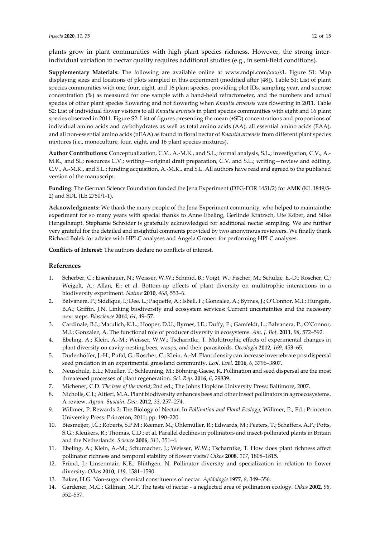plants grow in plant communities with high plant species richness. However, the strong inter‐ individual variation in nectar quality requires additional studies (e.g., in semi‐field conditions).

**Supplementary Materials:** The following are available online at www.mdpi.com/xxx/s1. Figure S1: Map displaying sizes and locations of plots sampled in this experiment (modified after [48]). Table S1: List of plant species communities with one, four, eight, and 16 plant species, providing plot IDs, sampling year, and sucrose concentration (%) as measured for one sample with a hand‐held refractometer, and the numbers and actual species of other plant species flowering and not flowering when *Knautia arvensis* was flowering in 2011. Table S2: List of individual flower visitors to all *Knautia arvensis* in plant species communities with eight and 16 plant species observed in 2011. Figure S2: List of figures presenting the mean (±SD) concentrations and proportions of individual amino acids and carbohydrates as well as total amino acids (AA), all essential amino acids (EAA), and all non‐essential amino acids (nEAA) as found in floral nectar of *Knautia arvensis* from different plant species mixtures (i.e., monoculture, four, eight, and 16 plant species mixtures).

**Author Contributions:** Conceptualization, C.V., A.‐M.K., and S.L.; formal analysis, S.L.; investigation, C.V., A.‐ M.K., and SL; resources C.V.; writing—original draft preparation, C.V. and S.L.; writing—review and editing, C.V., A.‐M.K., and S.L.; funding acquisition, A.‐M.K., and S.L. All authors have read and agreed to the published version of the manuscript.

**Funding:** The German Science Foundation funded the Jena Experiment (DFG‐FOR 1451/2) for AMK (KL 1849/5‐ 2) and SDL (LE 2750/1‐1).

**Acknowledgments:** We thank the many people of the Jena Experiment community, who helped to maintainthe experiment for so many years with special thanks to Anne Ebeling, Gerlinde Kratzsch, Ute Köber, and Silke Hengelhaupt. Stephanie Schröder is gratefully acknowledged for additional nectar sampling. We are further very grateful for the detailed and insightful comments provided by two anonymous reviewers. We finally thank Richard Bolek for advice with HPLC analyses and Angela Gronert for performing HPLC analyses.

**Conflicts of Interest:** The authors declare no conflicts of interest.

## **References**

- 1. Scherber, C.; Eisenhauer, N.; Weisser, W.W.; Schmid, B.; Voigt, W.; Fischer, M.; Schulze, E.-D.; Roscher, C.; Weigelt, A.; Allan, E.; et al. Bottom-up effects of plant diversity on multitrophic interactions in a biodiversity experiment. *Nature* **2010**, *468*, 553–6.
- 2. Balvanera, P.; Siddique, I.; Dee, L.; Paquette, A.; Isbell, F.; Gonzalez, A.; Byrnes, J.; O'Connor, M.I.; Hungate, B.A.; Griffin, J.N. Linking biodiversity and ecosystem services: Current uncertainties and the necessary next steps. *Bioscience* **2014**, *64*, 49–57.
- 3. Cardinale, B.J.; Matulich, K.L.; Hooper, D.U.; Byrnes, J.E.; Duffy, E.; Gamfeldt, L.; Balvanera, P.; O'Connor, M.I.; Gonzalez, A. The functional role of producer diversity in ecosystems. *Am. J. Bot.* **2011**, *98*, 572–592.
- 4. Ebeling, A.; Klein, A.-M.; Weisser, W.W.; Tscharntke, T. Multitrophic effects of experimental changes in plant diversity on cavity‐nesting bees, wasps, and their parasitoids. *Oecologia* **2012**, *169*, 453–65.
- 5. Dudenhöffer, J.‐H.; Pufal, G.; Roscher, C.; Klein, A.‐M. Plant density can increase invertebrate postdispersal seed predation in an experimental grassland community. *Ecol. Evol.* **2016**, *6*, 3796–3807.
- 6. Neuschulz, E.L.; Mueller, T.; Schleuning, M.; Böhning‐Gaese, K. Pollination and seed dispersal are the most threatened processes of plant regeneration. *Sci. Rep.* **2016**, *6*, 29839.
- 7. Michener, C.D. *The bees of the world*; 2nd ed.; The Johns Hopkins University Press: Baltimore, 2007.
- 8. Nicholls, C.I.; Altieri, M.A. Plant biodiversity enhances bees and other insect pollinators in agroecosystems. A review. *Agron. Sustain. Dev.* **2012**, *33*, 257–274.
- 9. Willmer, P. Rewards 2: The Biology of Nectar. In *Pollination and Floral Ecology*; Willmer, P., Ed.; Princeton University Press: Princeton, 2011; pp. 190–220.
- 10. Biesmeijer, J.C.; Roberts, S.P.M.; Reemer, M.; Ohlemüller, R.; Edwards, M.; Peeters, T.; Schaffers, A.P.; Potts, S.G.; Kleukers, R.; Thomas, C.D.; et al. Parallel declines in pollinators and insect‐pollinated plants in Britain and the Netherlands. *Science* **2006**, *313*, 351–4.
- 11. Ebeling, A.; Klein, A.‐M.; Schumacher, J.; Weisser, W.W.; Tscharntke, T. How does plant richness affect pollinator richness and temporal stability of flower visits? *Oikos* **2008**, *117*, 1808–1815.
- 12. Fründ, J.; Linsenmair, K.E.; Blüthgen, N. Pollinator diversity and specialization in relation to flower diversity. *Oikos* **2010**, *119*, 1581–1590.
- 13. Baker, H.G. Non‐sugar chemical constituents of nectar. *Apidologie* **1977**, *8*, 349–356.
- 14. Gardener, M.C.; Gillman, M.P. The taste of nectar ‐ a neglected area of pollination ecology. *Oikos* **2002**, *98*, 552–557.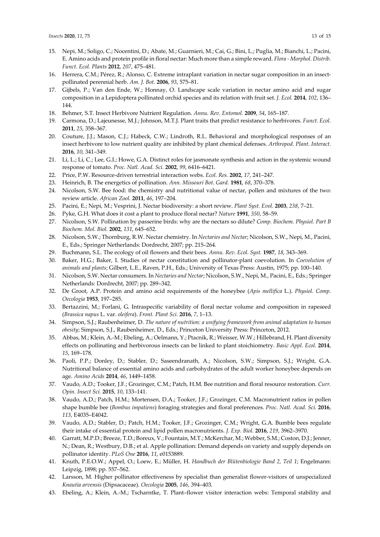- 15. Nepi, M.; Soligo, C.; Nocentini, D.; Abate, M.; Guarnieri, M.; Cai, G.; Bini, L.; Puglia, M.; Bianchi, L.; Pacini, E. Amino acids and protein profile in floral nectar: Much more than a simple reward. *Flora ‐ Morphol. Distrib. Funct. Ecol. Plants* **2012**, *207*, 475–481.
- 16. Herrera, C.M.; Pérez, R.; Alonso, C. Extreme intraplant variation in nectar sugar composition in an insectpollinated perennial herb. *Am. J. Bot.* **2006**, *93*, 575–81.
- 17. Gijbels, P.; Van den Ende, W.; Honnay, O. Landscape scale variation in nectar amino acid and sugar composition in a Lepidoptera pollinated orchid species and its relation with fruit set. *J. Ecol.* **2014**, *102*, 136– 144.
- 18. Behmer, S.T. Insect Herbivore Nutrient Regulation. *Annu. Rev. Entomol.* **2009**, *54*, 165–187.
- 19. Carmona, D.; Lajeunesse, M.J.; Johnson, M.T.J. Plant traits that predict resistance to herbivores. *Funct. Ecol.* **2011**, *25*, 358–367.
- 20. Couture, J.J.; Mason, C.J.; Habeck, C.W.; Lindroth, R.L. Behavioral and morphological responses of an insect herbivore to low nutrient quality are inhibited by plant chemical defenses. *Arthropod. Plant. Interact.* **2016**, *10*, 341–349.
- 21. Li, L.; Li, C.; Lee, G.I.; Howe, G.A. Distinct roles for jasmonate synthesis and action in the systemic wound response of tomato. *Proc. Natl. Acad. Sci.* **2002**, *99*, 6416–6421.
- 22. Price, P.W. Resource‐driven terrestrial interaction webs. *Ecol. Res.* **2002**, *17*, 241–247.
- 23. Heinrich, B. The energetics of pollination. *Ann. Missouri Bot. Gard.* **1981**, *68*, 370–378.
- 24. Nicolson, S.W. Bee food: the chemistry and nutritional value of nectar, pollen and mixtures of the two: review article. *African Zool.* **2011**, *46*, 197–204.
- 25. Pacini, E.; Nepi, M.; Vesprini, J. Nectar biodiversity: a short review. *Plant Syst. Evol.* **2003**, *238*, 7–21.
- 26. Pyke, G.H. What does it cost a plant to produce floral nectar? *Nature* **1991**, *350*, 58–59.
- 27. Nicolson, S.W. Pollination by passerine birds: why are the nectars so dilute? *Comp. Biochem. Physiol. Part B Biochem. Mol. Biol.* **2002**, *131*, 645–652.
- 28. Nicolson, S.W.; Thornburg, R.W. Nectar chemistry. In *Nectaries and Nectar*; Nicolson, S.W., Nepi, M., Pacini, E., Eds.; Springer Netherlands: Dordrecht, 2007; pp. 215–264.
- 29. Buchmann, S.L. The ecology of oil flowers and their bees. *Annu. Rev. Ecol. Syst.* **1987**, *18*, 343–369.
- 30. Baker, H.G.; Baker, I. Studies of nectar constitution and pollinator‐plant coevolution. In *Coevolution of animals and plants*; Gilbert, L.E., Raven, P.H., Eds.; University of Texas Press: Austin, 1975; pp. 100–140.
- 31. Nicolson, S.W. Nectar consumers. In *Nectaries and Nectar*; Nicolson, S.W., Nepi, M., Pacini, E., Eds.; Springer Netherlands: Dordrecht, 2007; pp. 289–342.
- 32. De Groot, A.P. Protein and amino acid requirements of the honeybee (*Apis mellifica* L.). *Physiol. Comp. Oecologia* **1953**, 197–285.
- 33. Bertazzini, M.; Forlani, G. Intraspecific variability of floral nectar volume and composition in rapeseed (*Brassica napus* L. var. *oleifera*). *Front. Plant Sci.* **2016**, *7*, 1–13.
- 34. Simpson, S.J.; Raubenheimer, D. *The nature of nutrition: a unifying framework from animal adaptation to human obesity*; Simpson, S.J., Raubenheimer, D., Eds.; Princeton University Press: Princeton, 2012.
- 35. Abbas, M.; Klein, A.‐M.; Ebeling, A.; Oelmann, Y.; Ptacnik, R.; Weisser, W.W.; Hillebrand, H. Plant diversity effects on pollinating and herbivorous insects can be linked to plant stoichiometry. *Basic Appl. Ecol.* **2014**, *15*, 169–178.
- 36. Paoli, P.P.; Donley, D.; Stabler, D.; Saseendranath, A.; Nicolson, S.W.; Simpson, S.J.; Wright, G.A. Nutritional balance of essential amino acids and carbohydrates of the adult worker honeybee depends on age. *Amino Acids* **2014**, *46*, 1449–1458.
- 37. Vaudo, A.D.; Tooker, J.F.; Grozinger, C.M.; Patch, H.M. Bee nutrition and floral resource restoration. *Curr. Opin. Insect Sci.* **2015**, *10*, 133–141.
- 38. Vaudo, A.D.; Patch, H.M.; Mortensen, D.A.; Tooker, J.F.; Grozinger, C.M. Macronutrient ratios in pollen shape bumble bee (*Bombus impatiens*) foraging strategies and floral preferences. *Proc. Natl. Acad. Sci.* **2016**, *113*, E4035–E4042.
- 39. Vaudo, A.D.; Stabler, D.; Patch, H.M.; Tooker, J.F.; Grozinger, C.M.; Wright, G.A. Bumble bees regulate their intake of essential protein and lipid pollen macronutrients. *J. Exp. Biol.* **2016**, *219*, 3962–3970.
- 40. Garratt, M.P.D.; Breeze, T.D.; Boreux, V.; Fountain, M.T.; McKerchar, M.; Webber, S.M.; Coston, D.J.; Jenner, N.; Dean, R.; Westbury, D.B.; et al. Apple pollination: Demand depends on variety and supply depends on pollinator identity. *PLoS One* **2016**, *11*, e0153889.
- 41. Knuth, P.E.O.W.; Appel, O.; Loew, E.; Müller, H. *Handbuch der Blütenbiologie Band 2, Teil 1*; Engelmann: Leipzig, 1898; pp. 557–562.
- 42. Larsson, M. Higher pollinator effectiveness by specialist than generalist flower-visitors of unspecialized *Knautia arvensis* (Dipsacaceae). *Oecologia* **2005**, *146*, 394–403.
- 43. Ebeling, A.; Klein, A.‐M.; Tscharntke, T. Plant–flower visitor interaction webs: Temporal stability and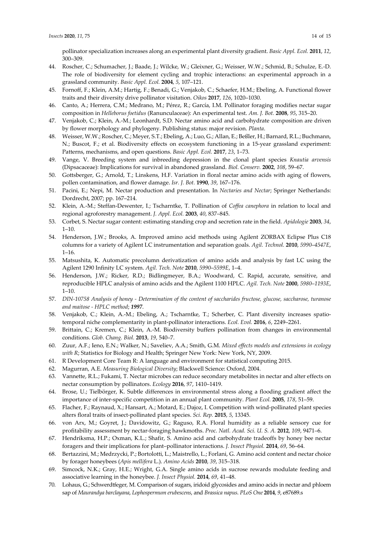pollinator specialization increases along an experimental plant diversity gradient. *Basic Appl. Ecol.* **2011**, *12*, 300–309.

- 44. Roscher, C.; Schumacher, J.; Baade, J.; Wilcke, W.; Gleixner, G.; Weisser, W.W.; Schmid, B.; Schulze, E.‐D. The role of biodiversity for element cycling and trophic interactions: an experimental approach in a grassland community. *Basic Appl. Ecol.* **2004**, *5*, 107–121.
- 45. Fornoff, F.; Klein, A.M.; Hartig, F.; Benadi, G.; Venjakob, C.; Schaefer, H.M.; Ebeling, A. Functional flower traits and their diversity drive pollinator visitation. *Oikos* **2017**, *126*, 1020–1030.
- 46. Canto, A.; Herrera, C.M.; Medrano, M.; Pérez, R.; García, I.M. Pollinator foraging modifies nectar sugar composition in *Helleborus foetidus* (Ranunculaceae): An experimental test. *Am. J. Bot.* **2008**, *95*, 315–20.
- 47. Venjakob, C.; Klein, A.-M.; Leonhardt, S.D. Nectar amino acid and carbohydrate composition are driven by flower morphology and phylogeny. Publishing status: major revision. *Planta*.
- 48. Weisser, W.W.; Roscher, C.; Meyer, S.T.; Ebeling, A.; Luo, G.; Allan, E.; Beßler, H.; Barnard, R.L.; Buchmann, N.; Buscot, F.; et al. Biodiversity effects on ecosystem functioning in a 15‐year grassland experiment: Patterns, mechanisms, and open questions. *Basic Appl. Ecol.* **2017**, *23*, 1–73.
- 49. Vange, V. Breeding system and inbreeding depression in the clonal plant species *Knautia arvensis* (Dipsacaceae): Implications for survival in abandoned grassland. *Biol. Conserv.* **2002**, *108*, 59–67.
- 50. Gottsberger, G.; Arnold, T.; Linskens, H.F. Variation in floral nectar amino acids with aging of flowers, pollen contamination, and flower damage. *Isr. J. Bot.* **1990**, *39*, 167–176.
- 51. Pacini, E.; Nepi, M. Nectar production and presentation. In *Nectaries and Nectar*; Springer Netherlands: Dordrecht, 2007; pp. 167–214.
- 52. Klein, A.‐M.; Steffan‐Dewenter, I.; Tscharntke, T. Pollination of *Coffea canephora* in relation to local and regional agroforestry management. *J. Appl. Ecol.* **2003**, *40*, 837–845.
- 53. Corbet, S. Nectar sugar content: estimating standing crop and secretion rate in the field. *Apidologie* **2003**, *34*, 1–10.
- 54. Henderson, J.W.; Brooks, A. Improved amino acid methods using Agilent ZORBAX Eclipse Plus C18 columns for a variety of Agilent LC instrumentation and separation goals. *Agil. Technol.* **2010**, *5990*–*4547E*, 1–16.
- 55. Matsushita, K. Automatic precolumn derivatization of amino acids and analysis by fast LC using the Agilent 1290 Infinity LC system. *Agil. Tech. Note* **2010**, *5990*–*5599E*, 1–4.
- 56. Henderson, J.W.; Ricker, R.D.; Bidlingmeyer, B.A.; Woodward, C. Rapid, accurate, sensitive, and reproducible HPLC analysis of amino acids and the Agilent 1100 HPLC. *Agil. Tech. Note* **2000**, *5980*–*1193E*, 1–10.
- 57. DIN-10758 Analysis of honey Determination of the content of saccharides fructose, glucose, saccharose, turanose *and maitose ‐ HPLC method*; *1997*.
- 58. Venjakob, C.; Klein, A.‐M.; Ebeling, A.; Tscharntke, T.; Scherber, C. Plant diversity increases spatio‐ temporal niche complementarity in plant‐pollinator interactions. *Ecol. Evol.* **2016**, *6*, 2249–2261.
- 59. Brittain, C.; Kremen, C.; Klein, A.‐M. Biodiversity buffers pollination from changes in environmental conditions. *Glob. Chang. Biol.* **2013**, *19*, 540–7.
- 60. Zuur, A.F.; Ieno, E.N.; Walker, N.; Saveliev, A.A.; Smith, G.M. *Mixed effects models and extensions in ecology with R*; Statistics for Biology and Health; Springer New York: New York, NY, 2009.
- 61. R Development Core Team R: A language and environment for statistical computing 2015.
- 62. Magurran, A.E. *Measuring Biological Diversity*; Blackwell Science: Oxford, 2004.
- 63. Vannette, R.L.; Fukami, T. Nectar microbes can reduce secondary metabolites in nectar and alter effects on nectar consumption by pollinators. *Ecology* **2016**, *97*, 1410–1419.
- 64. Brose, U.; Tielbörger, K. Subtle differences in environmental stress along a flooding gradient affect the importance of inter‐specific competition in an annual plant community. *Plant Ecol.* **2005**, *178*, 51–59.
- 65. Flacher, F.; Raynaud, X.; Hansart, A.; Motard, E.; Dajoz, I. Competition with wind‐pollinated plant species alters floral traits of insect‐pollinated plant species. *Sci. Rep.* **2015**, *5*, 13345.
- 66. von Arx, M.; Goyret, J.; Davidowitz, G.; Raguso, R.A. Floral humidity as a reliable sensory cue for profitability assessment by nectar‐foraging hawkmoths. *Proc. Natl. Acad. Sci. U. S. A.* **2012**, *109*, 9471–6.
- 67. Hendriksma, H.P.; Oxman, K.L.; Shafir, S. Amino acid and carbohydrate tradeoffs by honey bee nectar foragers and their implications for plant–pollinator interactions. *J. Insect Physiol.* **2014**, *69*, 56–64.
- 68. Bertazzini, M.; Medrzycki, P.; Bortolotti, L.; Maistrello, L.; Forlani, G. Amino acid content and nectar choice by forager honeybees (*Apis mellifera* L.). *Amino Acids* **2010**, *39*, 315–318.
- 69. Simcock, N.K.; Gray, H.E.; Wright, G.A. Single amino acids in sucrose rewards modulate feeding and associative learning in the honeybee. *J. Insect Physiol.* **2014**, *69*, 41–48.
- 70. Lohaus, G.; Schwerdtfeger, M. Comparison of sugars, iridoid glycosides and amino acids in nectar and phloem sap of *Maurandya barclayana*, *Lophospermum erubescens*, and *Brassica napus*. *PLoS One* **2014**, *9*, e87689.s